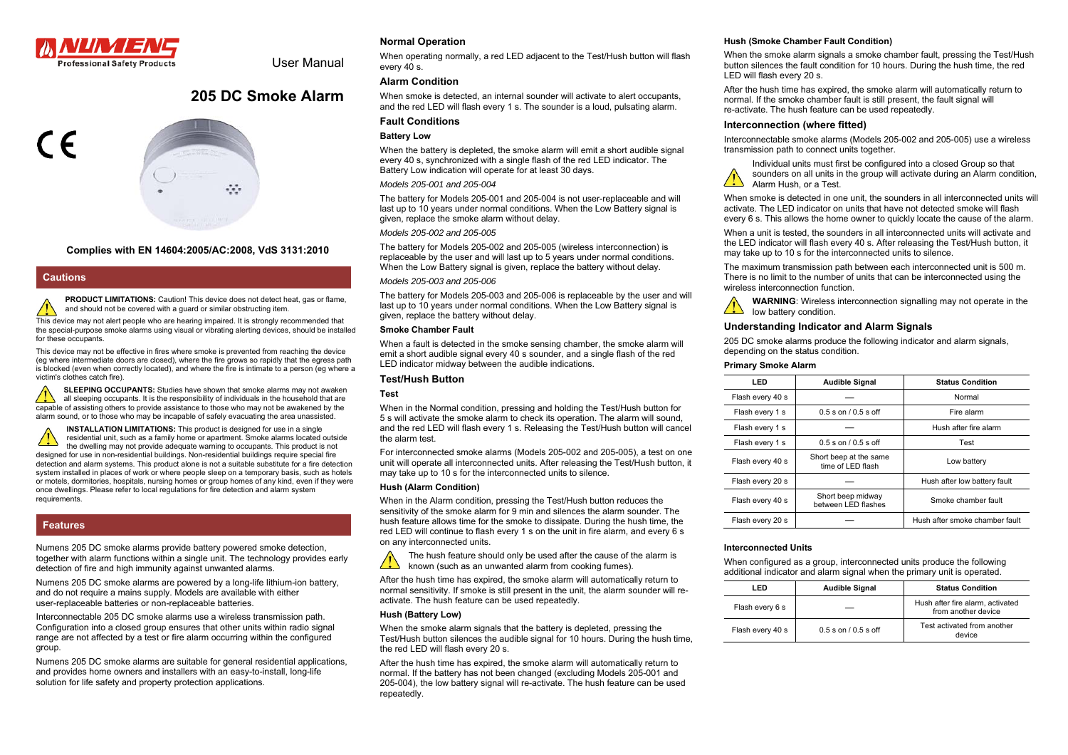

User Manual

# **205 DC Smoke Alarm**



### **Complies with EN 14604:2005/AC:2008, VdS 3131:2010**

#### **Cautions**

**PRODUCT LIMITATIONS:** Caution! This device does not detect heat, gas or flame, and should not be covered with a guard or similar obstructing item.

This device may not alert people who are hearing impaired. It is strongly recommended that the special-purpose smoke alarms using visual or vibrating alerting devices, should be installed for these occupants.

This device may not be effective in fires where smoke is prevented from reaching the device (eg where intermediate doors are closed), where the fire grows so rapidly that the egress path is blocked (even when correctly located), and where the fire is intimate to a person (eg where a victim's clothes catch fire).

**SLEEPING OCCUPANTS:** Studies have shown that smoke alarms may not awaken all sleeping occupants. It is the responsibility of individuals in the household that are capable of assisting others to provide assistance to those who may not be awakened by the alarm sound, or to those who may be incapable of safely evacuating the area unassisted.

**INSTALLATION LIMITATIONS:** This product is designed for use in a single residential unit, such as a family home or apartment. Smoke alarms located outside the dwelling may not provide adequate warning to occupants. This product is not designed for use in non-residential buildings. Non-residential buildings require special fire detection and alarm systems. This product alone is not a suitable substitute for a fire detection system installed in places of work or where people sleep on a temporary basis, such as hotels or motels, dormitories, hospitals, nursing homes or group homes of any kind, even if they were once dwellings. Please refer to local regulations for fire detection and alarm system requirements.

# **Features**

Numens 205 DC smoke alarms provide battery powered smoke detection, together with alarm functions within a single unit. The technology provides early detection of fire and high immunity against unwanted alarms.

Numens 205 DC smoke alarms are powered by a long-life lithium-ion battery, and do not require a mains supply. Models are available with either user-replaceable batteries or non-replaceable batteries.

Interconnectable 205 DC smoke alarms use a wireless transmission path. Configuration into a closed group ensures that other units within radio signal range are not affected by a test or fire alarm occurring within the configured group.

Numens 205 DC smoke alarms are suitable for general residential applications, and provides home owners and installers with an easy-to-install, long-life solution for life safety and property protection applications.

### **Normal Operation**

When operating normally, a red LED adjacent to the Test/Hush button will flash every 40 s.

### **Alarm Condition**

When smoke is detected, an internal sounder will activate to alert occupants, and the red LED will flash every 1 s. The sounder is a loud, pulsating alarm.

### **Fault Conditions**

### **Battery Low**

When the battery is depleted, the smoke alarm will emit a short audible signal every 40 s, synchronized with a single flash of the red LED indicator. The Battery Low indication will operate for at least 30 days.

#### *Models 205-001 and 205-004*

The battery for Models 205-001 and 205-004 is not user-replaceable and will last up to 10 years under normal conditions. When the Low Battery signal is given, replace the smoke alarm without delay.

### *Models 205-002 and 205-005*

The battery for Models 205-002 and 205-005 (wireless interconnection) is replaceable by the user and will last up to 5 years under normal conditions. When the Low Battery signal is given, replace the battery without delay.

### *Models 205-003 and 205-006*

The battery for Models 205-003 and 205-006 is replaceable by the user and will last up to 10 years under normal conditions. When the Low Battery signal is given, replace the battery without delay.

#### **Smoke Chamber Fault**

When a fault is detected in the smoke sensing chamber, the smoke alarm will emit a short audible signal every 40 s sounder, and a single flash of the red LED indicator midway between the audible indications.

#### **Test/Hush Button**

#### **Test**

When in the Normal condition, pressing and holding the Test/Hush button for 5 s will activate the smoke alarm to check its operation. The alarm will sound, and the red LED will flash every 1 s. Releasing the Test/Hush button will cancel the alarm test.

For interconnected smoke alarms (Models 205-002 and 205-005), a test on one unit will operate all interconnected units. After releasing the Test/Hush button, it may take up to 10 s for the interconnected units to silence.

#### **Hush (Alarm Condition)**

When in the Alarm condition, pressing the Test/Hush button reduces the sensitivity of the smoke alarm for 9 min and silences the alarm sounder. The hush feature allows time for the smoke to dissipate. During the hush time, the red LED will continue to flash every 1 s on the unit in fire alarm, and every 6 s on any interconnected units.

The hush feature should only be used after the cause of the alarm is  $\sqrt{2}$ known (such as an unwanted alarm from cooking fumes).

After the hush time has expired, the smoke alarm will automatically return to normal sensitivity. If smoke is still present in the unit, the alarm sounder will reactivate. The hush feature can be used repeatedly.

#### **Hush (Battery Low)**

When the smoke alarm signals that the battery is depleted, pressing the Test/Hush button silences the audible signal for 10 hours. During the hush time, the red LED will flash every 20 s.

After the hush time has expired, the smoke alarm will automatically return to normal. If the battery has not been changed (excluding Models 205-001 and 205-004), the low battery signal will re-activate. The hush feature can be used repeatedly.

#### **Hush (Smoke Chamber Fault Condition)**

When the smoke alarm signals a smoke chamber fault, pressing the Test/Hush button silences the fault condition for 10 hours. During the hush time, the red LED will flash every 20 s.

After the hush time has expired, the smoke alarm will automatically return to normal. If the smoke chamber fault is still present, the fault signal will re-activate. The hush feature can be used repeatedly.

#### **Interconnection (where fitted)**

Interconnectable smoke alarms (Models 205-002 and 205-005) use a wireless transmission path to connect units together.

Individual units must first be configured into a closed Group so that sounders on all units in the group will activate during an Alarm condition, Alarm Hush, or a Test.

When smoke is detected in one unit, the sounders in all interconnected units will activate. The LED indicator on units that have not detected smoke will flash every 6 s. This allows the home owner to quickly locate the cause of the alarm.

When a unit is tested, the sounders in all interconnected units will activate and the LED indicator will flash every 40 s. After releasing the Test/Hush button, it may take up to 10 s for the interconnected units to silence.

The maximum transmission path between each interconnected unit is 500 m. There is no limit to the number of units that can be interconnected using the wireless interconnection function.

**WARNING**: Wireless interconnection signalling may not operate in the low battery condition.

### **Understanding Indicator and Alarm Signals**

205 DC smoke alarms produce the following indicator and alarm signals, depending on the status condition.

#### **Primary Smoke Alarm**

| LED              | <b>Audible Signal</b>                       | <b>Status Condition</b>        |  |
|------------------|---------------------------------------------|--------------------------------|--|
| Flash every 40 s |                                             | Normal                         |  |
| Flash every 1 s  | $0.5$ s on $/0.5$ s off                     | Fire alarm                     |  |
| Flash every 1 s  |                                             | Hush after fire alarm          |  |
| Flash every 1 s  | $0.5$ s on $/$ $0.5$ s off                  | Test                           |  |
| Flash every 40 s | Short beep at the same<br>time of LED flash | Low battery                    |  |
| Flash every 20 s |                                             | Hush after low battery fault   |  |
| Flash every 40 s | Short beep midway<br>between LED flashes    | Smoke chamber fault            |  |
| Flash every 20 s |                                             | Hush after smoke chamber fault |  |

### **Interconnected Units**

When configured as a group, interconnected units produce the following additional indicator and alarm signal when the primary unit is operated.

| I FD             | <b>Audible Signal</b>      | <b>Status Condition</b>                                 |
|------------------|----------------------------|---------------------------------------------------------|
| Flash every 6 s  |                            | Hush after fire alarm, activated<br>from another device |
| Flash every 40 s | $0.5$ s on $/$ $0.5$ s off | Test activated from another<br>device                   |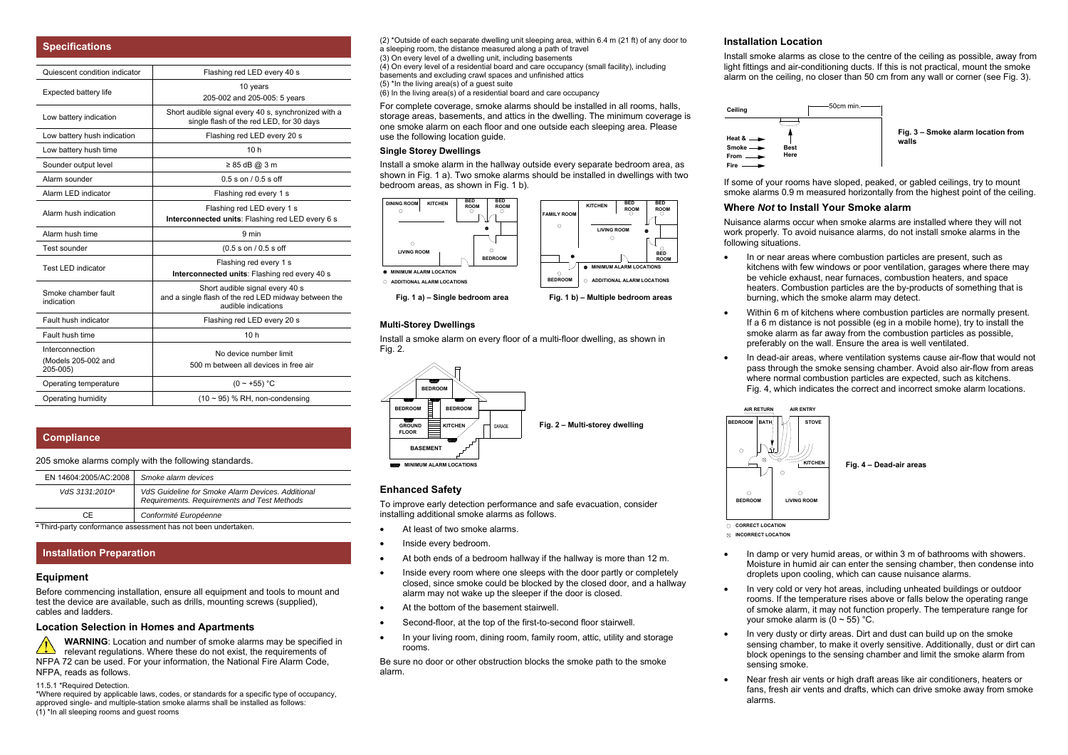| <b>Specifications</b>                              |                                                                                                                |
|----------------------------------------------------|----------------------------------------------------------------------------------------------------------------|
| Quiescent condition indicator                      | Flashing red LED every 40 s                                                                                    |
| Expected battery life                              | 10 years<br>205-002 and 205-005: 5 years                                                                       |
| Low battery indication                             | Short audible signal every 40 s, synchronized with a<br>single flash of the red LED, for 30 days               |
| Low battery hush indication                        | Flashing red LED every 20 s                                                                                    |
| Low battery hush time                              | 10h                                                                                                            |
| Sounder output level                               | $\geq 85$ dB @ 3 m                                                                                             |
| Alarm sounder                                      | $0.5$ s on $10.5$ s off                                                                                        |
| Alarm LED indicator                                | Flashing red every 1 s                                                                                         |
| Alarm hush indication                              | Flashing red LED every 1 s<br>Interconnected units: Flashing red LED every 6 s                                 |
| Alarm hush time                                    | 9 min                                                                                                          |
| Test sounder                                       | (0.5 s on / 0.5 s off                                                                                          |
| <b>Test LED indicator</b>                          | Flashing red every 1 s<br>Interconnected units: Flashing red every 40 s                                        |
| Smoke chamber fault<br>indication                  | Short audible signal every 40 s<br>and a single flash of the red LED midway between the<br>audible indications |
| Fault hush indicator                               | Flashing red LED every 20 s                                                                                    |
| Fault hush time                                    | 10 <sub>h</sub>                                                                                                |
| Interconnection<br>(Models 205-002 and<br>205-005) | No device number limit<br>500 m between all devices in free air                                                |
| Operating temperature                              | $(0 - +55)$ °C                                                                                                 |
| Operating humidity                                 | $(10 \sim 95)$ % RH, non-condensing                                                                            |

### **Compliance**

205 smoke alarms comply with the following standards.

| VdS 3131:2010 <sup>a</sup> | VdS Guideline for Smoke Alarm Devices. Additional<br>Requirements. Requirements and Test Methods |
|----------------------------|--------------------------------------------------------------------------------------------------|
| C.F                        | Conformité Européenne                                                                            |

a Third-party conformance assessment has not been undertaken

### **Installation Preparation**

#### **Equipment**

Before commencing installation, ensure all equipment and tools to mount and test the device are available, such as drills, mounting screws (supplied), cables and ladders.

#### **Location Selection in Homes and Apartments**

**WARNING**: Location and number of smoke alarms may be specified in  $\sqrt{2}$ relevant regulations. Where these do not exist, the requirements of NFPA 72 can be used. For your information, the National Fire Alarm Code, NFPA, reads as follows.

11.5.1 \*Required Detection.

\*Where required by applicable laws, codes, or standards for a specific type of occupancy, approved single- and multiple-station smoke alarms shall be installed as follows: (1) \*In all sleeping rooms and guest rooms

(2) \*Outside of each separate dwelling unit sleeping area, within 6.4 m (21 ft) of any door to a sleeping room, the distance measured along a path of travel (3) On every level of a dwelling unit, including basements (4) On every level of a residential board and care occupancy (small facility), including basements and excluding crawl spaces and unfinished attics  $(5)$  \*In the living area(s) of a quest suite  $(6)$  In the living area(s) of a residential board and care occupancy

For complete coverage, smoke alarms should be installed in all rooms, halls, storage areas, basements, and attics in the dwelling. The minimum coverage is one smoke alarm on each floor and one outside each sleeping area. Please use the following location guide.

### **Single Storey Dwellings**

Install a smoke alarm in the hallway outside every separate bedroom area, as shown in Fig. 1 a). Two smoke alarms should be installed in dwellings with two bedroom areas, as shown in Fig. 1 b).



**Fig. 1 a) – Single bedroom area Fig. 1 b) – Multiple bedroom areas**

#### **Multi-Storey Dwellings**

Install a smoke alarm on every floor of a multi-floor dwelling, as shown in Fig. 2.



### **Enhanced Safety**

To improve early detection performance and safe evacuation, consider installing additional smoke alarms as follows.

- At least of two smoke alarms.
- Inside every bedroom.
- At both ends of a bedroom hallway if the hallway is more than 12 m.
- Inside every room where one sleeps with the door partly or completely closed, since smoke could be blocked by the closed door, and a hallway alarm may not wake up the sleeper if the door is closed.
- At the bottom of the basement stairwell
- Second-floor, at the top of the first-to-second floor stairwell.
- In your living room, dining room, family room, attic, utility and storage rooms.

Be sure no door or other obstruction blocks the smoke path to the smoke alarm.

### **Installation Location**

Install smoke alarms as close to the centre of the ceiling as possible, away from light fittings and air-conditioning ducts. If this is not practical, mount the smoke alarm on the ceiling, no closer than 50 cm from any wall or corner (see Fig. 3).



If some of your rooms have sloped, peaked, or gabled ceilings, try to mount smoke alarms 0.9 m measured horizontally from the highest point of the ceiling.

### **Where** *Not* **to Install Your Smoke alarm**

Nuisance alarms occur when smoke alarms are installed where they will not work properly. To avoid nuisance alarms, do not install smoke alarms in the following situations.

- In or near areas where combustion particles are present, such as kitchens with few windows or poor ventilation, garages where there may be vehicle exhaust, near furnaces, combustion heaters, and space heaters. Combustion particles are the by-products of something that is burning, which the smoke alarm may detect.
- Within 6 m of kitchens where combustion particles are normally present. If a 6 m distance is not possible (eg in a mobile home), try to install the smoke alarm as far away from the combustion particles as possible, preferably on the wall. Ensure the area is well ventilated.
- In dead-air areas, where ventilation systems cause air-flow that would not pass through the smoke sensing chamber. Avoid also air-flow from areas where normal combustion particles are expected, such as kitchens. Fig. 4, which indicates the correct and incorrect smoke alarm locations.



- **INCORRECT LOCATION**
- In damp or very humid areas, or within 3 m of bathrooms with showers. Moisture in humid air can enter the sensing chamber, then condense into droplets upon cooling, which can cause nuisance alarms.
- In very cold or very hot areas, including unheated buildings or outdoor rooms. If the temperature rises above or falls below the operating range of smoke alarm, it may not function properly. The temperature range for your smoke alarm is  $(0 \sim 55)$  °C.
- In very dusty or dirty areas. Dirt and dust can build up on the smoke sensing chamber, to make it overly sensitive. Additionally, dust or dirt can block openings to the sensing chamber and limit the smoke alarm from sensing smoke.
- Near fresh air vents or high draft areas like air conditioners, heaters or fans, fresh air vents and drafts, which can drive smoke away from smoke alarms.

<sup>o</sup> **ROOM**

 $\Omega$ 

**BEDROOM**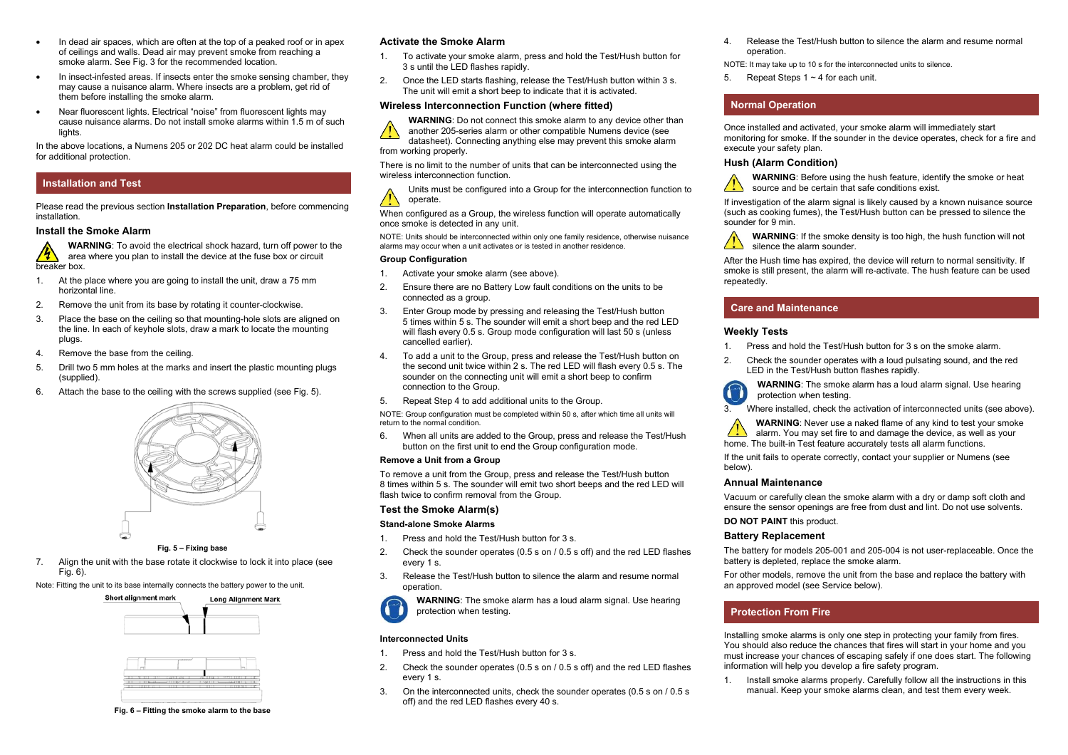- In dead air spaces, which are often at the top of a peaked roof or in apex of ceilings and walls. Dead air may prevent smoke from reaching a smoke alarm. See Fig. 3 for the recommended location.
- In insect-infested areas. If insects enter the smoke sensing chamber, they may cause a nuisance alarm. Where insects are a problem, get rid of them before installing the smoke alarm.
- Near fluorescent lights. Electrical "noise" from fluorescent lights may cause nuisance alarms. Do not install smoke alarms within 1.5 m of such lights

In the above locations, a Numens 205 or 202 DC heat alarm could be installed for additional protection.

### **Installation and Test**

Please read the previous section **Installation Preparation**, before commencing installation.

### **Install the Smoke Alarm**

**WARNING**: To avoid the electrical shock hazard, turn off power to the area where you plan to install the device at the fuse box or circuit breaker box.

- 1. At the place where you are going to install the unit, draw a 75 mm horizontal line.
- 2. Remove the unit from its base by rotating it counter-clockwise.
- 3. Place the base on the ceiling so that mounting-hole slots are aligned on the line. In each of keyhole slots, draw a mark to locate the mounting plugs.
- 4. Remove the base from the ceiling.
- 5. Drill two 5 mm holes at the marks and insert the plastic mounting plugs (supplied).
- 6. Attach the base to the ceiling with the screws supplied (see Fig. 5).



#### **Fig. 5 – Fixing base**

7. Align the unit with the base rotate it clockwise to lock it into place (see Fig. 6).

Note: Fitting the unit to its base internally connects the battery power to the unit.





**Fig. 6 – Fitting the smoke alarm to the base** 

### **Activate the Smoke Alarm**

- 1. To activate your smoke alarm, press and hold the Test/Hush button for 3 s until the LED flashes rapidly.
- 2. Once the LED starts flashing, release the Test/Hush button within 3 s. The unit will emit a short beep to indicate that it is activated.

#### **Wireless Interconnection Function (where fitted)**



**WARNING**: Do not connect this smoke alarm to any device other than another 205-series alarm or other compatible Numens device (see

datasheet). Connecting anything else may prevent this smoke alarm from working properly.

There is no limit to the number of units that can be interconnected using the wireless interconnection function.

Units must be configured into a Group for the interconnection function to operate.

When configured as a Group, the wireless function will operate automatically once smoke is detected in any unit.

NOTE: Units should be interconnected within only one family residence, otherwise nuisance alarms may occur when a unit activates or is tested in another residence.

#### **Group Configuration**

- 1. Activate your smoke alarm (see above).
- 2. Ensure there are no Battery Low fault conditions on the units to be connected as a group.
- 3. Enter Group mode by pressing and releasing the Test/Hush button 5 times within 5 s. The sounder will emit a short beep and the red LED will flash every 0.5 s. Group mode configuration will last 50 s (unless cancelled earlier).
- 4. To add a unit to the Group, press and release the Test/Hush button on the second unit twice within 2 s. The red LED will flash every 0.5 s. The sounder on the connecting unit will emit a short beep to confirm connection to the Group.
- 5. Repeat Step 4 to add additional units to the Group.

NOTE: Group configuration must be completed within 50 s, after which time all units will return to the normal condition.

6. When all units are added to the Group, press and release the Test/Hush button on the first unit to end the Group configuration mode.

#### **Remove a Unit from a Group**

To remove a unit from the Group, press and release the Test/Hush button 8 times within 5 s. The sounder will emit two short beeps and the red LED will flash twice to confirm removal from the Group.

#### **Test the Smoke Alarm(s)**

#### **Stand-alone Smoke Alarms**

- 1. Press and hold the Test/Hush button for 3 s.
- 2. Check the sounder operates (0.5 s on / 0.5 s off) and the red LED flashes every 1 s.
- 3. Release the Test/Hush button to silence the alarm and resume normal operation.

**WARNING**: The smoke alarm has a loud alarm signal. Use hearing protection when testing.

#### **Interconnected Units**

- 1. Press and hold the Test/Hush button for 3 s.
- 2. Check the sounder operates (0.5 s on / 0.5 s off) and the red LED flashes every 1 s.
- 3. On the interconnected units, check the sounder operates (0.5 s on / 0.5 s off) and the red LED flashes every 40 s.

4. Release the Test/Hush button to silence the alarm and resume normal operation.

NOTE: It may take up to 10 s for the interconnected units to silence.

5. Repeat Steps 1 ~ 4 for each unit.

# **Normal Operation**

Once installed and activated, your smoke alarm will immediately start monitoring for smoke. If the sounder in the device operates, check for a fire and execute your safety plan.

#### **Hush (Alarm Condition)**



If investigation of the alarm signal is likely caused by a known nuisance source (such as cooking fumes), the Test/Hush button can be pressed to silence the sounder for 9 min.

**WARNING**: If the smoke density is too high, the hush function will not silence the alarm sounder.

After the Hush time has expired, the device will return to normal sensitivity. If smoke is still present, the alarm will re-activate. The hush feature can be used repeatedly.

### **Care and Maintenance**

#### **Weekly Tests**

- 1. Press and hold the Test/Hush button for 3 s on the smoke alarm.
- 2. Check the sounder operates with a loud pulsating sound, and the red LED in the Test/Hush button flashes rapidly.

**WARNING:** The smoke alarm has a loud alarm signal. Use hearing protection when testing.

3. Where installed, check the activation of interconnected units (see above).

**WARNING**: Never use a naked flame of any kind to test your smoke alarm. You may set fire to and damage the device, as well as your home. The built-in Test feature accurately tests all alarm functions.

If the unit fails to operate correctly, contact your supplier or Numens (see below).

#### **Annual Maintenance**

Vacuum or carefully clean the smoke alarm with a dry or damp soft cloth and ensure the sensor openings are free from dust and lint. Do not use solvents.

### **DO NOT PAINT** this product.

#### **Battery Replacement**

The battery for models 205-001 and 205-004 is not user-replaceable. Once the battery is depleted, replace the smoke alarm.

For other models, remove the unit from the base and replace the battery with an approved model (see Service below).

### **Protection From Fire**

Installing smoke alarms is only one step in protecting your family from fires. You should also reduce the chances that fires will start in your home and you must increase your chances of escaping safely if one does start. The following information will help you develop a fire safety program.

1. Install smoke alarms properly. Carefully follow all the instructions in this manual. Keep your smoke alarms clean, and test them every week.